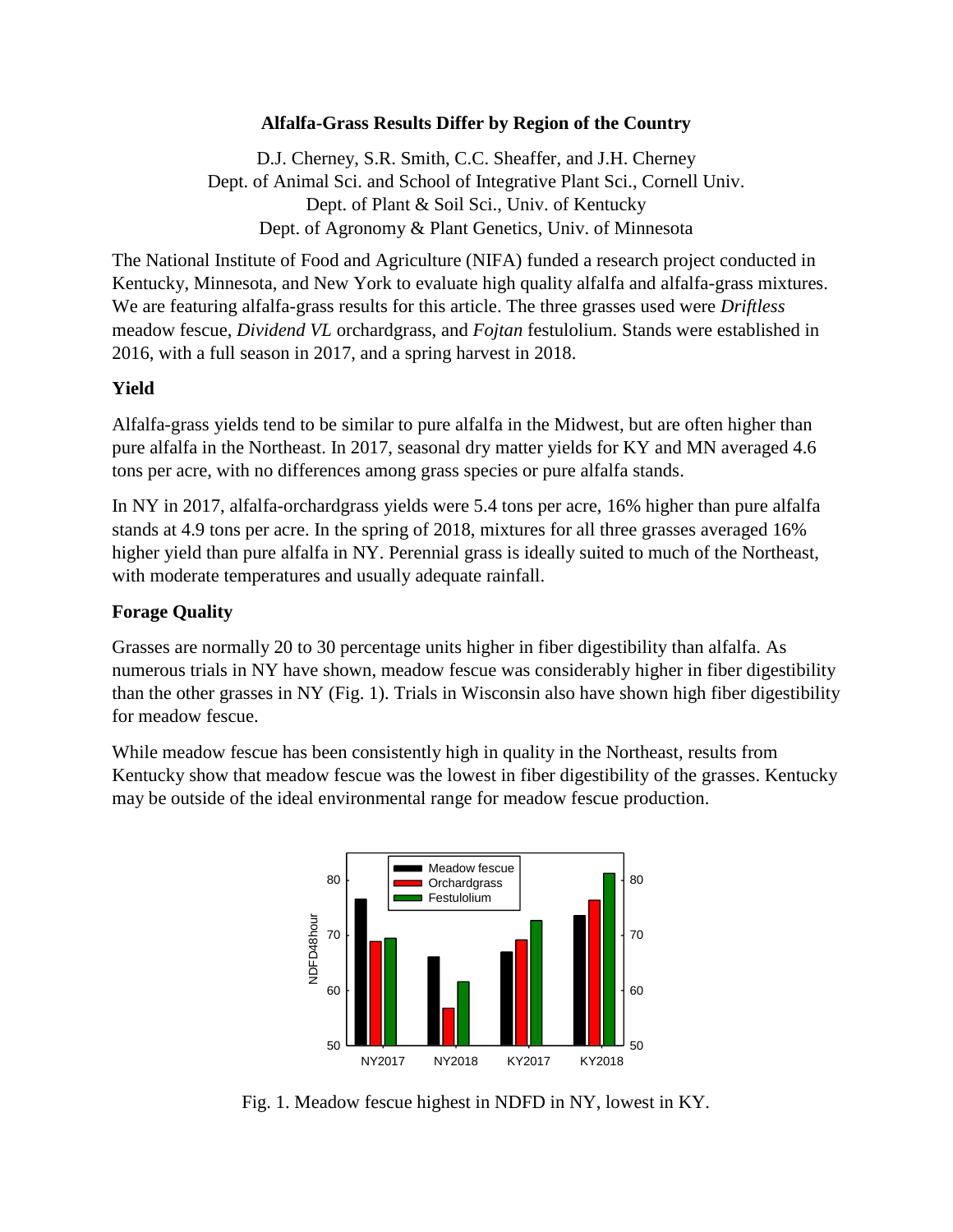### **Alfalfa-Grass Results Differ by Region of the Country**

D.J. Cherney, S.R. Smith, C.C. Sheaffer, and J.H. Cherney Dept. of Animal Sci. and School of Integrative Plant Sci., Cornell Univ. Dept. of Plant & Soil Sci., Univ. of Kentucky Dept. of Agronomy & Plant Genetics, Univ. of Minnesota

The National Institute of Food and Agriculture (NIFA) funded a research project conducted in Kentucky, Minnesota, and New York to evaluate high quality alfalfa and alfalfa-grass mixtures. We are featuring alfalfa-grass results for this article. The three grasses used were *Driftless* meadow fescue, *Dividend VL* orchardgrass, and *Fojtan* festulolium. Stands were established in 2016, with a full season in 2017, and a spring harvest in 2018.

### **Yield**

Alfalfa-grass yields tend to be similar to pure alfalfa in the Midwest, but are often higher than pure alfalfa in the Northeast. In 2017, seasonal dry matter yields for KY and MN averaged 4.6 tons per acre, with no differences among grass species or pure alfalfa stands.

In NY in 2017, alfalfa-orchardgrass yields were 5.4 tons per acre, 16% higher than pure alfalfa stands at 4.9 tons per acre. In the spring of 2018, mixtures for all three grasses averaged 16% higher yield than pure alfalfa in NY. Perennial grass is ideally suited to much of the Northeast, with moderate temperatures and usually adequate rainfall.

## **Forage Quality**

Grasses are normally 20 to 30 percentage units higher in fiber digestibility than alfalfa. As numerous trials in NY have shown, meadow fescue was considerably higher in fiber digestibility than the other grasses in NY (Fig. 1). Trials in Wisconsin also have shown high fiber digestibility for meadow fescue.

While meadow fescue has been consistently high in quality in the Northeast, results from Kentucky show that meadow fescue was the lowest in fiber digestibility of the grasses. Kentucky may be outside of the ideal environmental range for meadow fescue production.



Fig. 1. Meadow fescue highest in NDFD in NY, lowest in KY.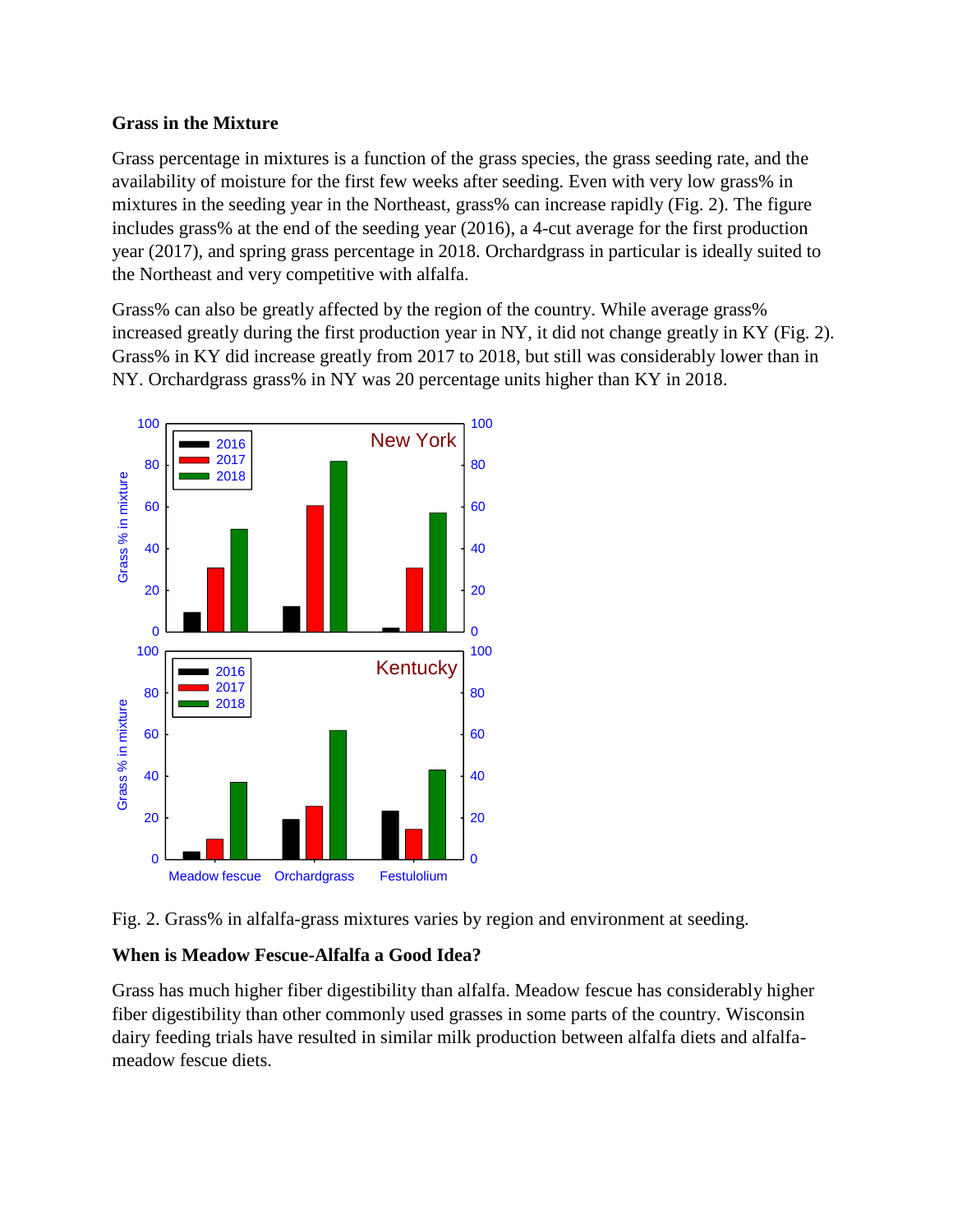## **Grass in the Mixture**

Grass percentage in mixtures is a function of the grass species, the grass seeding rate, and the availability of moisture for the first few weeks after seeding. Even with very low grass% in mixtures in the seeding year in the Northeast, grass% can increase rapidly (Fig. 2). The figure includes grass% at the end of the seeding year (2016), a 4-cut average for the first production year (2017), and spring grass percentage in 2018. Orchardgrass in particular is ideally suited to the Northeast and very competitive with alfalfa.

Grass% can also be greatly affected by the region of the country. While average grass% increased greatly during the first production year in NY, it did not change greatly in KY (Fig. 2). Grass% in KY did increase greatly from 2017 to 2018, but still was considerably lower than in NY. Orchardgrass grass% in NY was 20 percentage units higher than KY in 2018.





#### **When is Meadow Fescue-Alfalfa a Good Idea?**

Grass has much higher fiber digestibility than alfalfa. Meadow fescue has considerably higher fiber digestibility than other commonly used grasses in some parts of the country. Wisconsin dairy feeding trials have resulted in similar milk production between alfalfa diets and alfalfameadow fescue diets.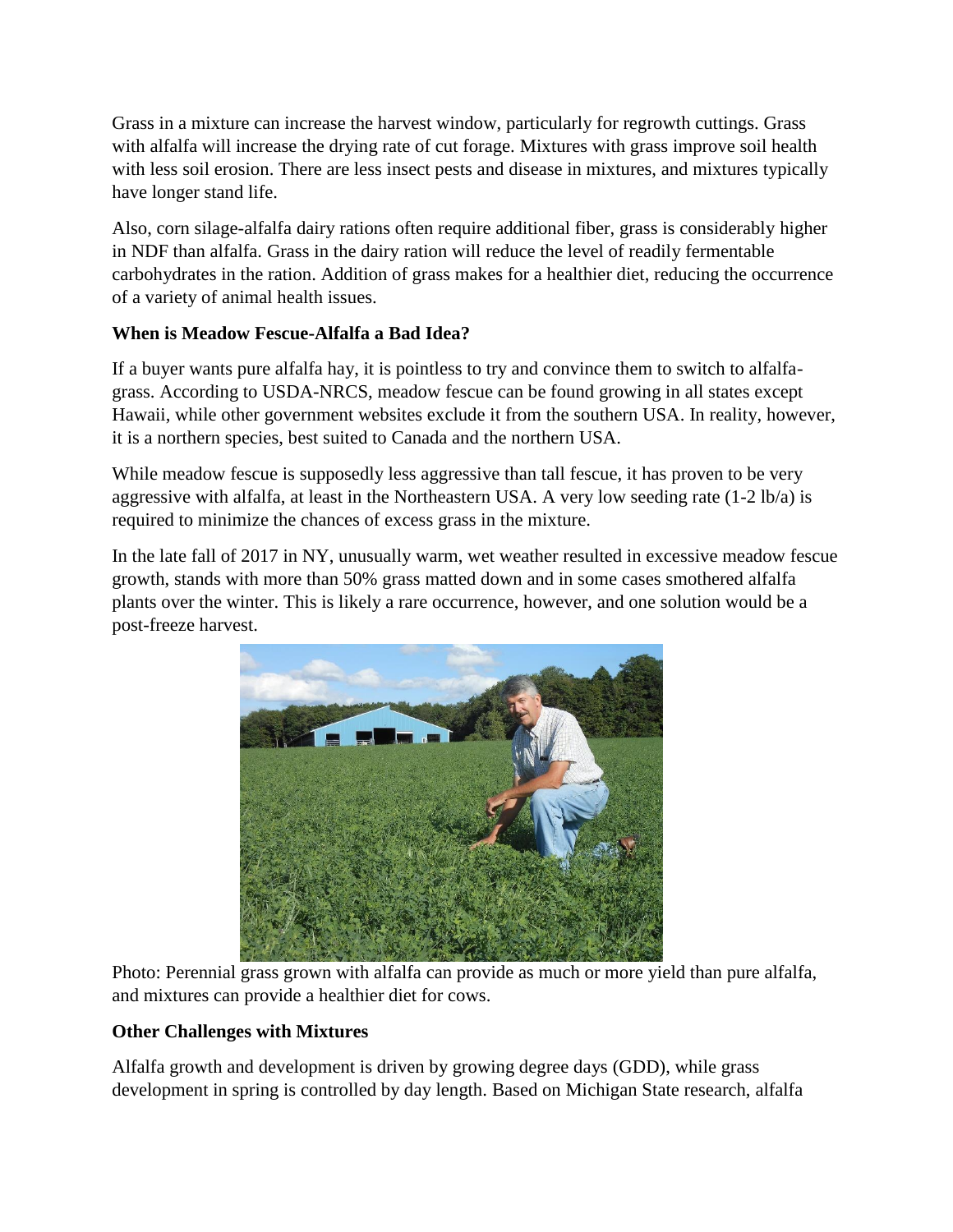Grass in a mixture can increase the harvest window, particularly for regrowth cuttings. Grass with alfalfa will increase the drying rate of cut forage. Mixtures with grass improve soil health with less soil erosion. There are less insect pests and disease in mixtures, and mixtures typically have longer stand life.

Also, corn silage-alfalfa dairy rations often require additional fiber, grass is considerably higher in NDF than alfalfa. Grass in the dairy ration will reduce the level of readily fermentable carbohydrates in the ration. Addition of grass makes for a healthier diet, reducing the occurrence of a variety of animal health issues.

# **When is Meadow Fescue-Alfalfa a Bad Idea?**

If a buyer wants pure alfalfa hay, it is pointless to try and convince them to switch to alfalfagrass. According to USDA-NRCS, meadow fescue can be found growing in all states except Hawaii, while other government websites exclude it from the southern USA. In reality, however, it is a northern species, best suited to Canada and the northern USA.

While meadow fescue is supposedly less aggressive than tall fescue, it has proven to be very aggressive with alfalfa, at least in the Northeastern USA. A very low seeding rate (1-2 lb/a) is required to minimize the chances of excess grass in the mixture.

In the late fall of 2017 in NY, unusually warm, wet weather resulted in excessive meadow fescue growth, stands with more than 50% grass matted down and in some cases smothered alfalfa plants over the winter. This is likely a rare occurrence, however, and one solution would be a post-freeze harvest.



Photo: Perennial grass grown with alfalfa can provide as much or more yield than pure alfalfa, and mixtures can provide a healthier diet for cows.

## **Other Challenges with Mixtures**

Alfalfa growth and development is driven by growing degree days (GDD), while grass development in spring is controlled by day length. Based on Michigan State research, alfalfa